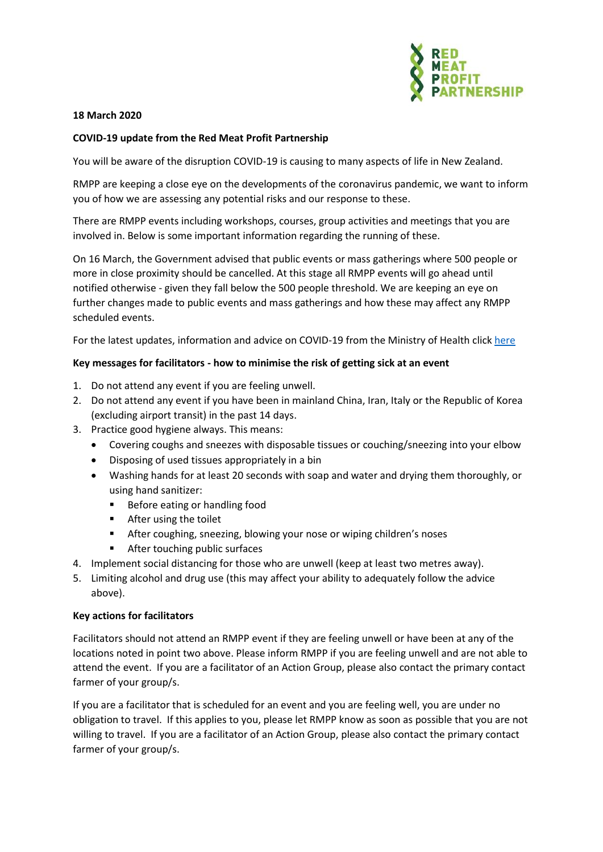

### **18 March 2020**

## **COVID-19 update from the Red Meat Profit Partnership**

You will be aware of the disruption COVID-19 is causing to many aspects of life in New Zealand.

RMPP are keeping a close eye on the developments of the coronavirus pandemic, we want to inform you of how we are assessing any potential risks and our response to these.

There are RMPP events including workshops, courses, group activities and meetings that you are involved in. Below is some important information regarding the running of these.

On 16 March, the Government advised that public events or mass gatherings where 500 people or more in close proximity should be cancelled. At this stage all RMPP events will go ahead until notified otherwise - given they fall below the 500 people threshold. We are keeping an eye on further changes made to public events and mass gatherings and how these may affect any RMPP scheduled events.

For the latest updates, information and advice on COVID-19 from the Ministry of Health click [here](https://www.health.govt.nz/our-work/diseases-and-conditions/covid-19-novel-coronavirus)

### **Key messages for facilitators - how to minimise the risk of getting sick at an event**

- 1. Do not attend any event if you are feeling unwell.
- 2. Do not attend any event if you have been in mainland China, Iran, Italy or the Republic of Korea (excluding airport transit) in the past 14 days.
- 3. Practice good hygiene always. This means:
	- Covering coughs and sneezes with disposable tissues or couching/sneezing into your elbow
	- Disposing of used tissues appropriately in a bin
	- Washing hands for at least 20 seconds with soap and water and drying them thoroughly, or using hand sanitizer:
		- Before eating or handling food
		- After using the toilet
		- After coughing, sneezing, blowing your nose or wiping children's noses
		- After touching public surfaces
- 4. Implement social distancing for those who are unwell (keep at least two metres away).
- 5. Limiting alcohol and drug use (this may affect your ability to adequately follow the advice above).

### **Key actions for facilitators**

Facilitators should not attend an RMPP event if they are feeling unwell or have been at any of the locations noted in point two above. Please inform RMPP if you are feeling unwell and are not able to attend the event. If you are a facilitator of an Action Group, please also contact the primary contact farmer of your group/s.

If you are a facilitator that is scheduled for an event and you are feeling well, you are under no obligation to travel. If this applies to you, please let RMPP know as soon as possible that you are not willing to travel. If you are a facilitator of an Action Group, please also contact the primary contact farmer of your group/s.